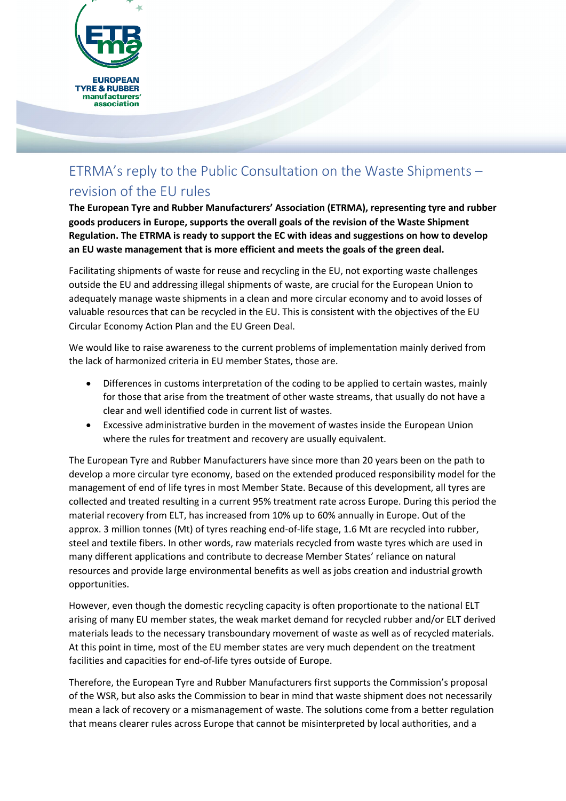

## ETRMA's reply to the Public Consultation on the Waste Shipments – revision of the EU rules

**The European Tyre and Rubber Manufacturers' Association (ETRMA), representing tyre and rubber goods producers in Europe, supports the overall goals of the revision of the Waste Shipment Regulation. The ETRMA is ready to support the EC with ideas and suggestions on how to develop an EU waste management that is more efficient and meets the goals of the green deal.**

Facilitating shipments of waste for reuse and recycling in the EU, not exporting waste challenges outside the EU and addressing illegal shipments of waste, are crucial for the European Union to adequately manage waste shipments in a clean and more circular economy and to avoid losses of valuable resources that can be recycled in the EU. This is consistent with the objectives of the EU Circular Economy Action Plan and the EU Green Deal.

We would like to raise awareness to the current problems of implementation mainly derived from the lack of harmonized criteria in EU member States, those are.

- Differences in customs interpretation of the coding to be applied to certain wastes, mainly for those that arise from the treatment of other waste streams, that usually do not have a clear and well identified code in current list of wastes.
- Excessive administrative burden in the movement of wastes inside the European Union where the rules for treatment and recovery are usually equivalent.

The European Tyre and Rubber Manufacturers have since more than 20 years been on the path to develop a more circular tyre economy, based on the extended produced responsibility model for the management of end of life tyres in most Member State. Because of this development, all tyres are collected and treated resulting in a current 95% treatment rate across Europe. During this period the material recovery from ELT, has increased from 10% up to 60% annually in Europe. Out of the approx. 3 million tonnes (Mt) of tyres reaching end-of-life stage, 1.6 Mt are recycled into rubber, steel and textile fibers. In other words, raw materials recycled from waste tyres which are used in many different applications and contribute to decrease Member States' reliance on natural resources and provide large environmental benefits as well as jobs creation and industrial growth opportunities.

However, even though the domestic recycling capacity is often proportionate to the national ELT arising of many EU member states, the weak market demand for recycled rubber and/or ELT derived materials leads to the necessary transboundary movement of waste as well as of recycled materials. At this point in time, most of the EU member states are very much dependent on the treatment facilities and capacities for end-of-life tyres outside of Europe.

Therefore, the European Tyre and Rubber Manufacturers first supports the Commission's proposal of the WSR, but also asks the Commission to bear in mind that waste shipment does not necessarily mean a lack of recovery or a mismanagement of waste. The solutions come from a better regulation that means clearer rules across Europe that cannot be misinterpreted by local authorities, and a